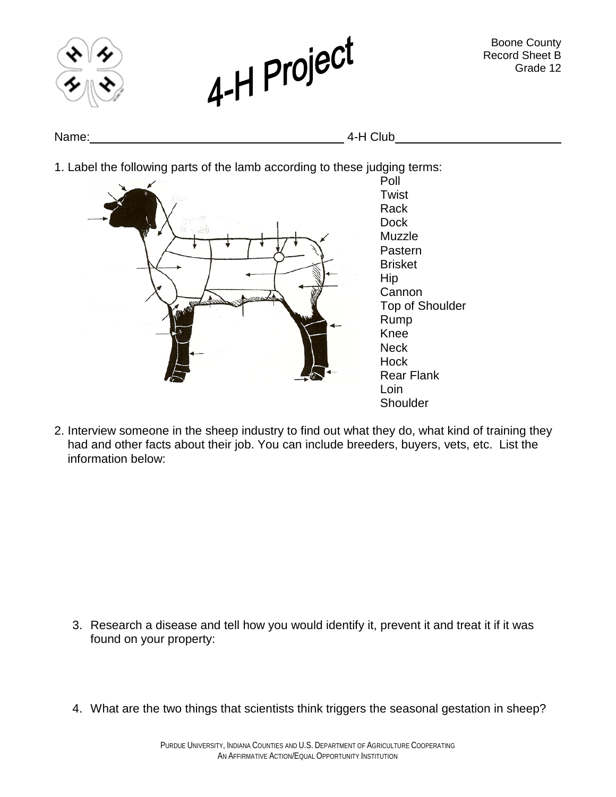

2. Interview someone in the sheep industry to find out what they do, what kind of training they had and other facts about their job. You can include breeders, buyers, vets, etc. List the information below:

- 3. Research a disease and tell how you would identify it, prevent it and treat it if it was found on your property:
- 4. What are the two things that scientists think triggers the seasonal gestation in sheep?